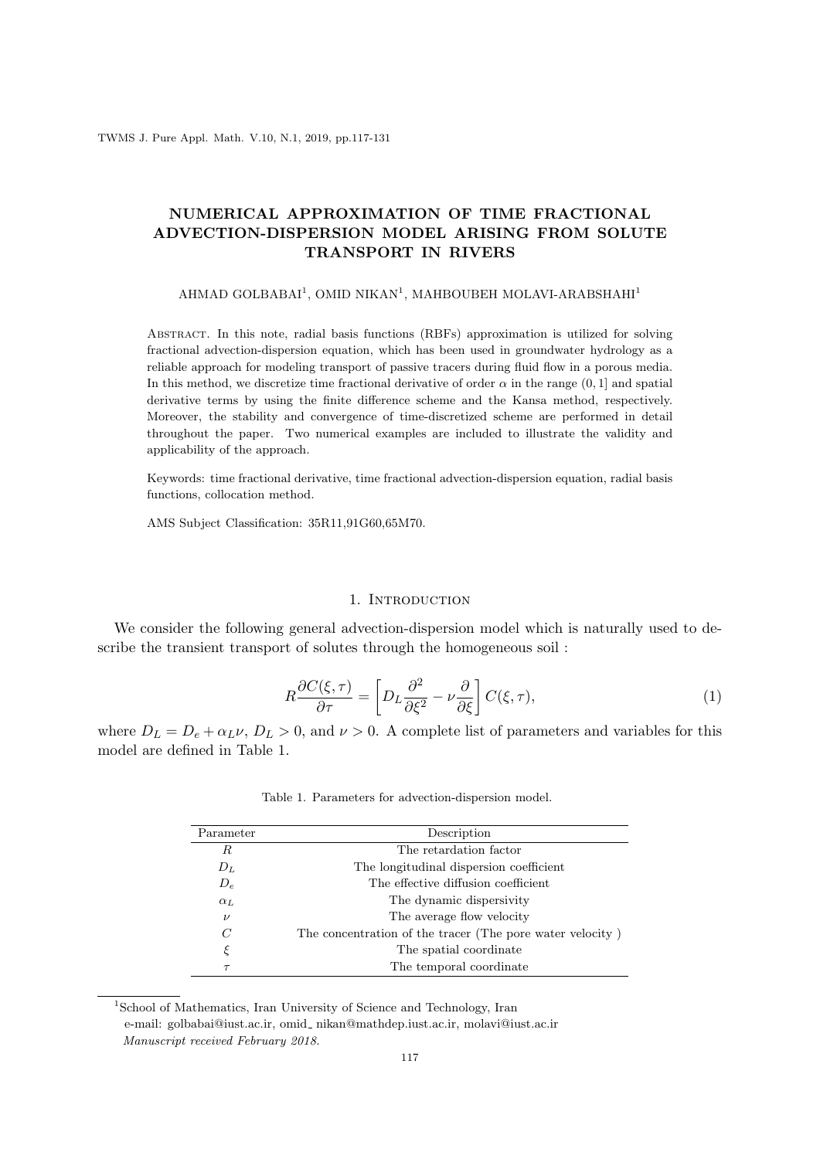# **NUMERICAL APPROXIMATION OF TIME FRACTIONAL ADVECTION-DISPERSION MODEL ARISING FROM SOLUTE TRANSPORT IN RIVERS**

### AHMAD GOLBABAI<sup>1</sup>, OMID NIKAN<sup>1</sup>, MAHBOUBEH MOLAVI-ARABSHAHI<sup>1</sup>

Abstract. In this note, radial basis functions (RBFs) approximation is utilized for solving fractional advection-dispersion equation, which has been used in groundwater hydrology as a reliable approach for modeling transport of passive tracers during fluid flow in a porous media. In this method, we discretize time fractional derivative of order  $\alpha$  in the range  $(0,1]$  and spatial derivative terms by using the finite difference scheme and the Kansa method, respectively. Moreover, the stability and convergence of time-discretized scheme are performed in detail throughout the paper. Two numerical examples are included to illustrate the validity and applicability of the approach.

Keywords: time fractional derivative, time fractional advection-dispersion equation, radial basis functions, collocation method.

AMS Subject Classification: 35R11,91G60,65M70.

### 1. INTRODUCTION

We consider the following general advection-dispersion model which is naturally used to describe the transient transport of solutes through the homogeneous soil :

$$
R\frac{\partial C(\xi,\tau)}{\partial \tau} = \left[D_L \frac{\partial^2}{\partial \xi^2} - \nu \frac{\partial}{\partial \xi}\right] C(\xi,\tau),\tag{1}
$$

where  $D_L = D_e + \alpha_L \nu$ ,  $D_L > 0$ , and  $\nu > 0$ . A complete list of parameters and variables for this model are defined in Table 1.

| Parameter    | Description                                               |
|--------------|-----------------------------------------------------------|
| R            | The retardation factor                                    |
| $D_L$        | The longitudinal dispersion coefficient                   |
| $D_e$        | The effective diffusion coefficient                       |
| $\alpha_L$   | The dynamic dispersivity                                  |
| $\nu$        | The average flow velocity                                 |
| $\mathcal C$ | The concentration of the tracer (The pore water velocity) |
| ξ            | The spatial coordinate                                    |
| $\tau$       | The temporal coordinate                                   |

Table 1. Parameters for advection-dispersion model.

<sup>&</sup>lt;sup>1</sup>School of Mathematics, Iran University of Science and Technology, Iran e-mail: golbabai@iust.ac.ir, omid\_ nikan@mathdep.iust.ac.ir, molavi@iust.ac.ir *Manuscript received February 2018.*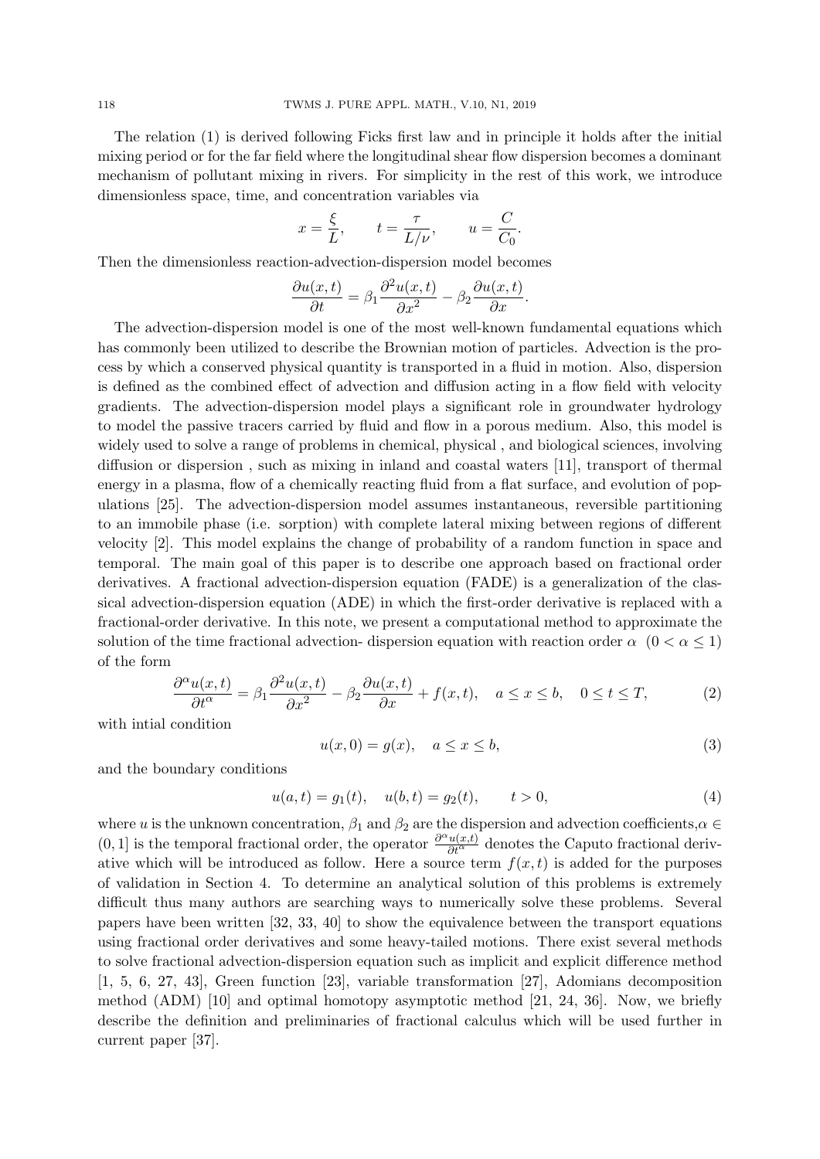The relation (1) is derived following Ficks first law and in principle it holds after the initial mixing period or for the far field where the longitudinal shear flow dispersion becomes a dominant mechanism of pollutant mixing in rivers. For simplicity in the rest of this work, we introduce dimensionless space, time, and concentration variables via

$$
x = \frac{\xi}{L}, \qquad t = \frac{\tau}{L/\nu}, \qquad u = \frac{C}{C_0}.
$$

Then the dimensionless reaction-advection-dispersion model becomes

$$
\frac{\partial u(x,t)}{\partial t} = \beta_1 \frac{\partial^2 u(x,t)}{\partial x^2} - \beta_2 \frac{\partial u(x,t)}{\partial x}.
$$

The advection-dispersion model is one of the most well-known fundamental equations which has commonly been utilized to describe the Brownian motion of particles. Advection is the process by which a conserved physical quantity is transported in a fluid in motion. Also, dispersion is defined as the combined effect of advection and diffusion acting in a flow field with velocity gradients. The advection-dispersion model plays a significant role in groundwater hydrology to model the passive tracers carried by fluid and flow in a porous medium. Also, this model is widely used to solve a range of problems in chemical, physical , and biological sciences, involving diffusion or dispersion , such as mixing in inland and coastal waters [11], transport of thermal energy in a plasma, flow of a chemically reacting fluid from a flat surface, and evolution of populations [25]. The advection-dispersion model assumes instantaneous, reversible partitioning to an immobile phase (i.e. sorption) with complete lateral mixing between regions of different velocity [2]. This model explains the change of probability of a random function in space and temporal. The main goal of this paper is to describe one approach based on fractional order derivatives. A fractional advection-dispersion equation (FADE) is a generalization of the classical advection-dispersion equation (ADE) in which the first-order derivative is replaced with a fractional-order derivative. In this note, we present a computational method to approximate the solution of the time fractional advection- dispersion equation with reaction order  $\alpha$  (0 <  $\alpha \leq 1$ ) of the form

$$
\frac{\partial^{\alpha}u(x,t)}{\partial t^{\alpha}} = \beta_1 \frac{\partial^2 u(x,t)}{\partial x^2} - \beta_2 \frac{\partial u(x,t)}{\partial x} + f(x,t), \quad a \le x \le b, \quad 0 \le t \le T,
$$
 (2)

with intial condition

$$
u(x,0) = g(x), \quad a \le x \le b,\tag{3}
$$

and the boundary conditions

$$
u(a,t) = g_1(t), \quad u(b,t) = g_2(t), \qquad t > 0,
$$
\n<sup>(4)</sup>

where *u* is the unknown concentration,  $\beta_1$  and  $\beta_2$  are the dispersion and advection coefficients, $\alpha \in$  $(0, 1]$  is the temporal fractional order, the operator  $\frac{\partial^{\alpha} u(x,t)}{\partial t^{\alpha}}$  denotes the Caputo fractional derivative which will be introduced as follow. Here a source term  $f(x, t)$  is added for the purposes of validation in Section 4. To determine an analytical solution of this problems is extremely difficult thus many authors are searching ways to numerically solve these problems. Several papers have been written [32, 33, 40] to show the equivalence between the transport equations using fractional order derivatives and some heavy-tailed motions. There exist several methods to solve fractional advection-dispersion equation such as implicit and explicit difference method [1, 5, 6, 27, 43], Green function [23], variable transformation [27], Adomians decomposition method (ADM) [10] and optimal homotopy asymptotic method [21, 24, 36]. Now, we briefly describe the definition and preliminaries of fractional calculus which will be used further in current paper [37].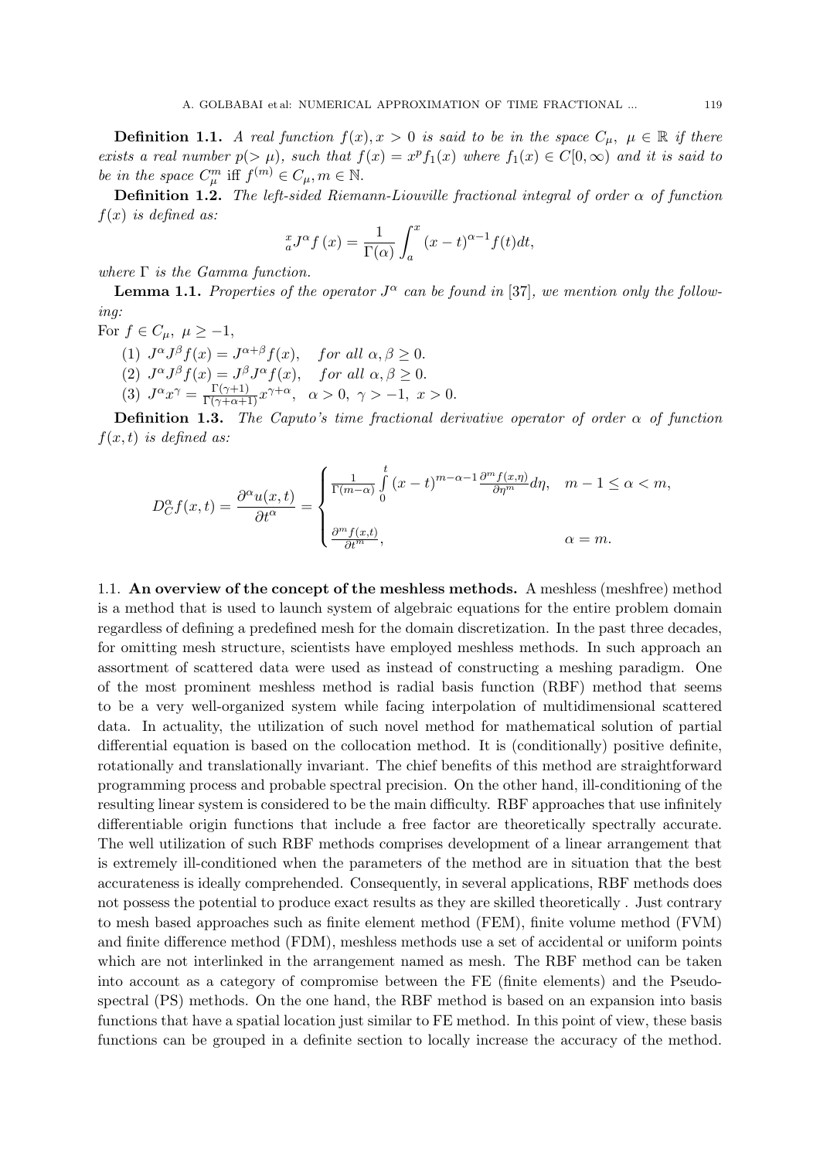**Definition 1.1.** *A real function*  $f(x), x > 0$  *is said to be in the space*  $C_\mu$ ,  $\mu \in \mathbb{R}$  *if there exists a real number*  $p(>\mu)$ *, such that*  $f(x) = x^p f_1(x)$  *where*  $f_1(x) \in C[0,\infty)$  *and it is said to be in the space*  $C^m_\mu$  iff  $f^{(m)} \in C_\mu, m \in \mathbb{N}$ .

**Definition 1.2.** *The left-sided Riemann-Liouville fractional integral of order α of function f*(*x*) *is defined as:*

$$
_{a}^{x}J^{\alpha}f\left( x\right) =\frac{1}{\Gamma(\alpha)}\int_{a}^{x}\left( x-t\right) ^{\alpha-1}f(t)dt,
$$

*where* Γ *is the Gamma function.*

**Lemma 1.1.** Properties of the operator  $J^{\alpha}$  can be found in [37], we mention only the follow*ing:*

- For  $f \in C_\mu$ ,  $\mu \geq -1$ ,
	- (1)  $J^{\alpha}J^{\beta}f(x) = J^{\alpha+\beta}f(x)$ , for all  $\alpha, \beta \geq 0$ . (2)  $J^{\alpha}J^{\beta}f(x) = J^{\beta}J^{\alpha}f(x)$ , for all  $\alpha, \beta \geq 0$ . (3)  $J^{\alpha}x^{\gamma} = \frac{\Gamma(\gamma+1)}{\Gamma(\gamma+\alpha+1)}x^{\gamma+\alpha}, \quad \alpha > 0, \quad \gamma > -1, \quad x > 0.$

**Definition 1.3.** *The Caputo's time fractional derivative operator of order*  $\alpha$  *of function f*(*x, t*) *is defined as:*

$$
D_C^{\alpha} f(x,t) = \frac{\partial^{\alpha} u(x,t)}{\partial t^{\alpha}} = \begin{cases} \frac{1}{\Gamma(m-\alpha)} \int_0^t (x-t)^{m-\alpha-1} \frac{\partial^m f(x,\eta)}{\partial \eta^m} d\eta, & m-1 \le \alpha < m, \\ \frac{\partial^m f(x,t)}{\partial t^m}, & \alpha = m. \end{cases}
$$

1.1. **An overview of the concept of the meshless methods.** A meshless (meshfree) method is a method that is used to launch system of algebraic equations for the entire problem domain regardless of defining a predefined mesh for the domain discretization. In the past three decades, for omitting mesh structure, scientists have employed meshless methods. In such approach an assortment of scattered data were used as instead of constructing a meshing paradigm. One of the most prominent meshless method is radial basis function (RBF) method that seems to be a very well-organized system while facing interpolation of multidimensional scattered data. In actuality, the utilization of such novel method for mathematical solution of partial differential equation is based on the collocation method. It is (conditionally) positive definite, rotationally and translationally invariant. The chief benefits of this method are straightforward programming process and probable spectral precision. On the other hand, ill-conditioning of the resulting linear system is considered to be the main difficulty. RBF approaches that use infinitely differentiable origin functions that include a free factor are theoretically spectrally accurate. The well utilization of such RBF methods comprises development of a linear arrangement that is extremely ill-conditioned when the parameters of the method are in situation that the best accurateness is ideally comprehended. Consequently, in several applications, RBF methods does not possess the potential to produce exact results as they are skilled theoretically . Just contrary to mesh based approaches such as finite element method (FEM), finite volume method (FVM) and finite difference method (FDM), meshless methods use a set of accidental or uniform points which are not interlinked in the arrangement named as mesh. The RBF method can be taken into account as a category of compromise between the FE (finite elements) and the Pseudospectral (PS) methods. On the one hand, the RBF method is based on an expansion into basis functions that have a spatial location just similar to FE method. In this point of view, these basis functions can be grouped in a definite section to locally increase the accuracy of the method.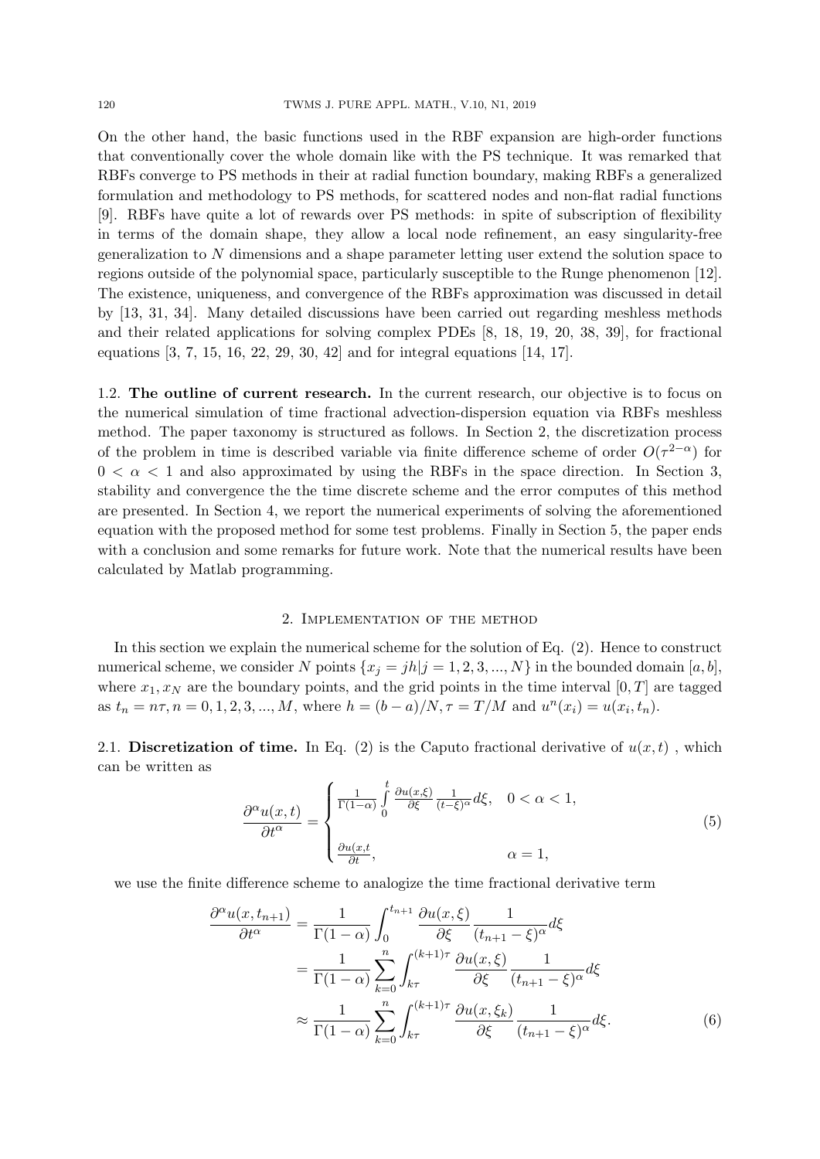On the other hand, the basic functions used in the RBF expansion are high-order functions that conventionally cover the whole domain like with the PS technique. It was remarked that RBFs converge to PS methods in their at radial function boundary, making RBFs a generalized formulation and methodology to PS methods, for scattered nodes and non-flat radial functions [9]. RBFs have quite a lot of rewards over PS methods: in spite of subscription of flexibility in terms of the domain shape, they allow a local node refinement, an easy singularity-free generalization to *N* dimensions and a shape parameter letting user extend the solution space to regions outside of the polynomial space, particularly susceptible to the Runge phenomenon [12]. The existence, uniqueness, and convergence of the RBFs approximation was discussed in detail by [13, 31, 34]. Many detailed discussions have been carried out regarding meshless methods and their related applications for solving complex PDEs [8, 18, 19, 20, 38, 39], for fractional equations [3, 7, 15, 16, 22, 29, 30, 42] and for integral equations [14, 17].

1.2. **The outline of current research.** In the current research, our objective is to focus on the numerical simulation of time fractional advection-dispersion equation via RBFs meshless method. The paper taxonomy is structured as follows. In Section 2, the discretization process of the problem in time is described variable via finite difference scheme of order  $O(\tau^{2-\alpha})$  for  $0 < \alpha < 1$  and also approximated by using the RBFs in the space direction. In Section 3, stability and convergence the the time discrete scheme and the error computes of this method are presented. In Section 4, we report the numerical experiments of solving the aforementioned equation with the proposed method for some test problems. Finally in Section 5, the paper ends with a conclusion and some remarks for future work. Note that the numerical results have been calculated by Matlab programming.

## 2. Implementation of the method

In this section we explain the numerical scheme for the solution of Eq. (2). Hence to construct numerical scheme, we consider *N* points  $\{x_j = jh|j = 1, 2, 3, ..., N\}$  in the bounded domain [*a, b*], where  $x_1, x_N$  are the boundary points, and the grid points in the time interval  $[0, T]$  are tagged as  $t_n = n\tau, n = 0, 1, 2, 3, ..., M$ , where  $h = (b - a)/N, \tau = T/M$  and  $u^n(x_i) = u(x_i, t_n)$ .

2.1. **Discretization of time.** In Eq. (2) is the Caputo fractional derivative of  $u(x, t)$ , which can be written as

$$
\frac{\partial^{\alpha}u(x,t)}{\partial t^{\alpha}} = \begin{cases} \frac{1}{\Gamma(1-\alpha)} \int_{0}^{t} \frac{\partial u(x,\xi)}{\partial \xi} \frac{1}{(t-\xi)^{\alpha}} d\xi, & 0 < \alpha < 1, \\ \frac{\partial u(x,t)}{\partial t}, & \alpha = 1, \end{cases}
$$
(5)

we use the finite difference scheme to analogize the time fractional derivative term

$$
\frac{\partial^{\alpha}u(x,t_{n+1})}{\partial t^{\alpha}} = \frac{1}{\Gamma(1-\alpha)} \int_{0}^{t_{n+1}} \frac{\partial u(x,\xi)}{\partial \xi} \frac{1}{(t_{n+1}-\xi)^{\alpha}} d\xi
$$

$$
= \frac{1}{\Gamma(1-\alpha)} \sum_{k=0}^{n} \int_{k\tau}^{(k+1)\tau} \frac{\partial u(x,\xi)}{\partial \xi} \frac{1}{(t_{n+1}-\xi)^{\alpha}} d\xi
$$

$$
\approx \frac{1}{\Gamma(1-\alpha)} \sum_{k=0}^{n} \int_{k\tau}^{(k+1)\tau} \frac{\partial u(x,\xi_k)}{\partial \xi} \frac{1}{(t_{n+1}-\xi)^{\alpha}} d\xi.
$$
(6)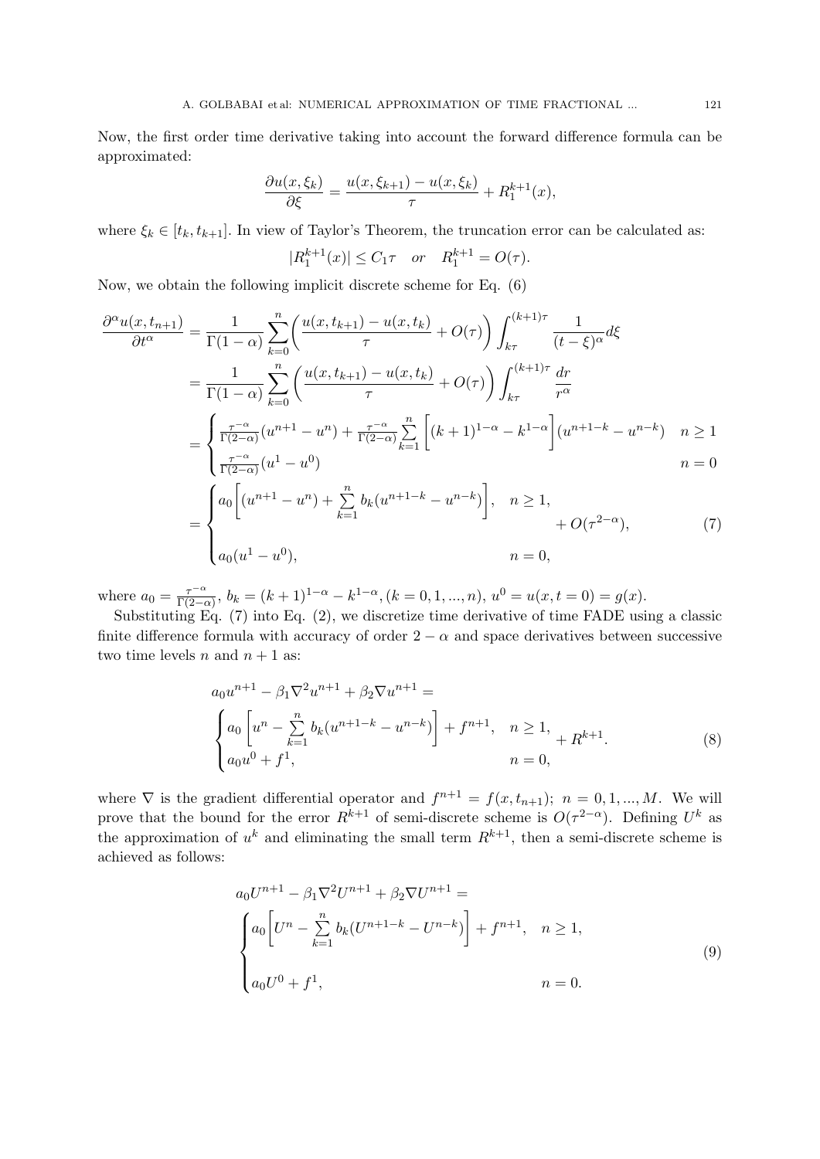Now, the first order time derivative taking into account the forward difference formula can be approximated:

$$
\frac{\partial u(x,\xi_k)}{\partial \xi} = \frac{u(x,\xi_{k+1}) - u(x,\xi_k)}{\tau} + R_1^{k+1}(x),
$$

where  $\xi_k \in [t_k, t_{k+1}]$ . In view of Taylor's Theorem, the truncation error can be calculated as:

$$
|R_1^{k+1}(x)| \le C_1 \tau \quad or \quad R_1^{k+1} = O(\tau).
$$

Now, we obtain the following implicit discrete scheme for Eq. (6)

$$
\frac{\partial^{\alpha}u(x,t_{n+1})}{\partial t^{\alpha}} = \frac{1}{\Gamma(1-\alpha)} \sum_{k=0}^{n} \left( \frac{u(x,t_{k+1}) - u(x,t_k)}{\tau} + O(\tau) \right) \int_{k\tau}^{(k+1)\tau} \frac{1}{(t-\xi)^{\alpha}} d\xi
$$
  
\n
$$
= \frac{1}{\Gamma(1-\alpha)} \sum_{k=0}^{n} \left( \frac{u(x,t_{k+1}) - u(x,t_k)}{\tau} + O(\tau) \right) \int_{k\tau}^{(k+1)\tau} \frac{dr}{r^{\alpha}}
$$
  
\n
$$
= \begin{cases} \frac{\tau^{-\alpha}}{\Gamma(2-\alpha)} (u^{n+1} - u^n) + \frac{\tau^{-\alpha}}{\Gamma(2-\alpha)} \sum_{k=1}^{n} \left[ (k+1)^{1-\alpha} - k^{1-\alpha} \right] (u^{n+1-k} - u^{n-k}) & n \ge 1 \\ \frac{\tau^{-\alpha}}{\Gamma(2-\alpha)} (u^1 - u^0) & n = 0 \end{cases}
$$
  
\n
$$
= \begin{cases} a_0 \left[ (u^{n+1} - u^n) + \sum_{k=1}^{n} b_k (u^{n+1-k} - u^{n-k}) \right], & n \ge 1, \\ u + O(\tau^{2-\alpha}), \end{cases}
$$
 (7)

$$
= \begin{cases} 1 & n = 1 \\ a_0(u^1 - u^0), & n = 0, \end{cases} + O(\tau^{2-\alpha}),
$$

where  $a_0 = \frac{\tau^{-\alpha}}{\Gamma(2-\alpha)}$  $\frac{\tau^{-\alpha}}{\Gamma(2-\alpha)}, b_k = (k+1)^{1-\alpha} - k^{1-\alpha}, (k=0,1,...,n), u^0 = u(x,t=0) = g(x).$ 

Substituting Eq. (7) into Eq. (2), we discretize time derivative of time FADE using a classic finite difference formula with accuracy of order  $2 - \alpha$  and space derivatives between successive two time levels *n* and  $n + 1$  as:

$$
a_0 u^{n+1} - \beta_1 \nabla^2 u^{n+1} + \beta_2 \nabla u^{n+1} =
$$
  
\n
$$
\begin{cases}\na_0 \left[ u^n - \sum_{k=1}^n b_k (u^{n+1-k} - u^{n-k}) \right] + f^{n+1}, & n \ge 1, \\
a_0 u^0 + f^1, & n = 0,\n\end{cases}
$$
\n(8)

where  $\nabla$  is the gradient differential operator and  $f^{n+1} = f(x, t_{n+1}); n = 0, 1, ..., M$ . We will prove that the bound for the error  $R^{k+1}$  of semi-discrete scheme is  $O(\tau^{2-\alpha})$ . Defining  $U^k$  as the approximation of  $u^k$  and eliminating the small term  $R^{k+1}$ , then a semi-discrete scheme is achieved as follows:

$$
a_0 U^{n+1} - \beta_1 \nabla^2 U^{n+1} + \beta_2 \nabla U^{n+1} =
$$
\n
$$
\begin{cases}\na_0 \left[ U^n - \sum_{k=1}^n b_k (U^{n+1-k} - U^{n-k}) \right] + f^{n+1}, & n \ge 1, \\
a_0 U^0 + f^1, & n = 0.\n\end{cases}
$$
\n(9)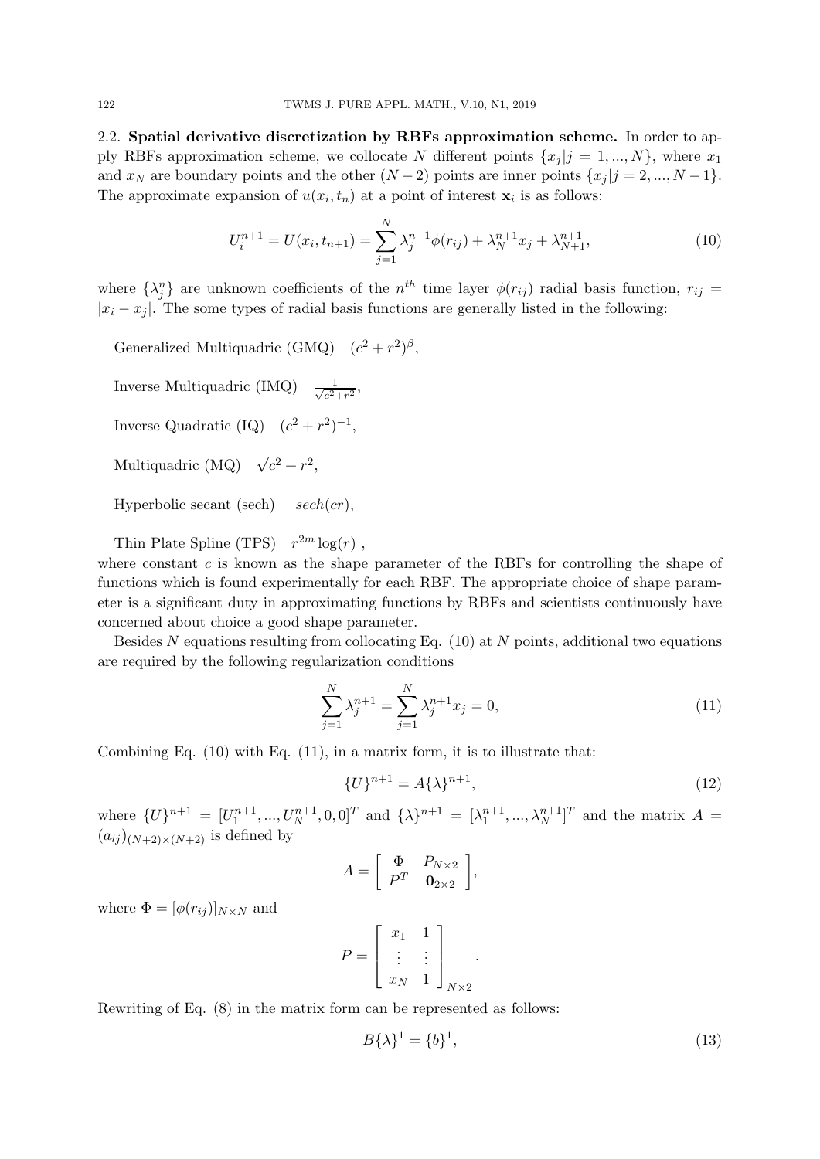2.2. **Spatial derivative discretization by RBFs approximation scheme.** In order to apply RBFs approximation scheme, we collocate *N* different points  $\{x_i | j = 1, ..., N\}$ , where  $x_1$ and *x<sub>N</sub>* are boundary points and the other  $(N-2)$  points are inner points  $\{x_j | j = 2, ..., N-1\}$ . The approximate expansion of  $u(x_i, t_n)$  at a point of interest  $\mathbf{x}_i$  is as follows:

$$
U_i^{n+1} = U(x_i, t_{n+1}) = \sum_{j=1}^{N} \lambda_j^{n+1} \phi(r_{ij}) + \lambda_N^{n+1} x_j + \lambda_{N+1}^{n+1},
$$
\n(10)

where  $\{\lambda_j^n\}$  are unknown coefficients of the  $n^{th}$  time layer  $\phi(r_{ij})$  radial basis function,  $r_{ij}$  =  $|x_i - x_j|$ . The some types of radial basis functions are generally listed in the following:

Generalized Multiquadric (GMQ)  $(c^2 + r^2)$ <sup>β</sup>,

- Inverse Multiquadric (IMQ) *<sup>√</sup>* 1  $\frac{1}{c^2+r^2}$
- Inverse Quadratic (IQ)  $(c^2 + r^2)^{-1}$ ,
- Multiquadric (MQ)  $\sqrt{c^2+r^2}$ ,

Hyperbolic secant (sech) *sech*(*cr*),

Thin Plate Spline (TPS)  $r^{2m} \log(r)$ , where constant *c* is known as the shape parameter of the RBFs for controlling the shape of functions which is found experimentally for each RBF. The appropriate choice of shape parameter is a significant duty in approximating functions by RBFs and scientists continuously have concerned about choice a good shape parameter.

Besides *N* equations resulting from collocating Eq. (10) at *N* points, additional two equations are required by the following regularization conditions

$$
\sum_{j=1}^{N} \lambda_j^{n+1} = \sum_{j=1}^{N} \lambda_j^{n+1} x_j = 0,
$$
\n(11)

Combining Eq.  $(10)$  with Eq.  $(11)$ , in a matrix form, it is to illustrate that:

$$
\{U\}^{n+1} = A\{\lambda\}^{n+1},\tag{12}
$$

where  $\{U\}^{n+1} = [U_1^{n+1}, ..., U_N^{n+1}, 0, 0]^T$  and  $\{\lambda\}^{n+1} = [\lambda_1^{n+1}, ..., \lambda_N^{n+1}]^T$  and the matrix  $A =$  $(a_{ij})_{(N+2)\times(N+2)}$  is defined by

$$
A = \left[ \begin{array}{cc} \Phi & P_{N \times 2} \\ P^T & \mathbf{0}_{2 \times 2} \end{array} \right],
$$

where  $\Phi = [\phi(r_{ij})]_{N \times N}$  and

$$
P = \left[ \begin{array}{cc} x_1 & 1 \\ \vdots & \vdots \\ x_N & 1 \end{array} \right]_{N \times 2}.
$$

Rewriting of Eq. (8) in the matrix form can be represented as follows:

$$
B\{\lambda\}^1 = \{b\}^1,\tag{13}
$$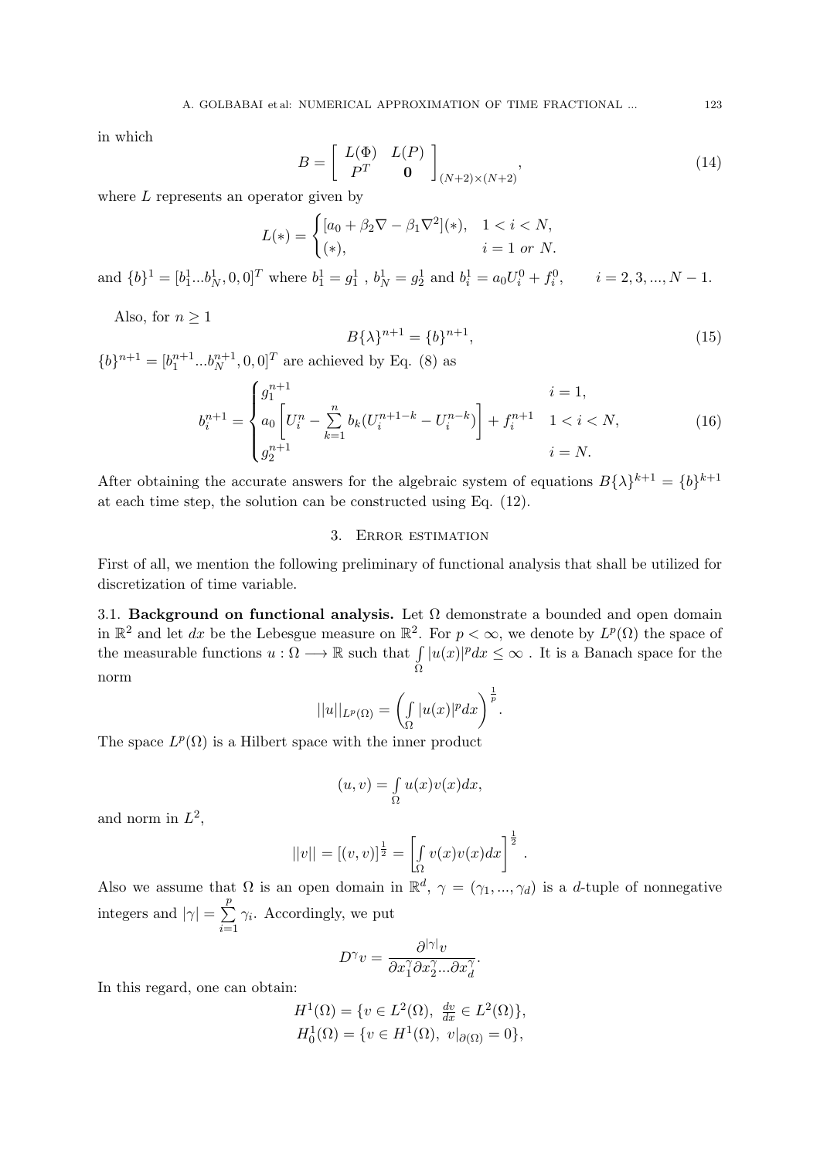in which

$$
B = \left[ \begin{array}{cc} L(\Phi) & L(P) \\ P^T & \mathbf{0} \end{array} \right]_{(N+2)\times(N+2)},\tag{14}
$$

where *L* represents an operator given by

$$
L(*) = \begin{cases} [a_0 + \beta_2 \nabla - \beta_1 \nabla^2](*) & 1 < i < N, \\ (*), & i = 1 \text{ or } N. \end{cases}
$$

and  $\{b\}^1 = [b_1^1...b_N^1, 0, 0]^T$  where  $b_1^1 = g_1^1$ ,  $b_N^1 = g_2^1$  and  $b_i^1 = a_0U_i^0 + f_i^0$ ,  $i = 2, 3, ..., N - 1$ .

Also, for  $n \geq 1$ 

$$
B\{\lambda\}^{n+1} = \{b\}^{n+1},\tag{15}
$$

 ${b}^{n+1} = [b_1^{n+1} ... b_N^{n+1}, 0, 0]^T$  are achieved by Eq. (8) as

$$
b_i^{n+1} = \begin{cases} g_1^{n+1} & i = 1, \\ a_0 \left[ U_i^n - \sum_{k=1}^n b_k (U_i^{n+1-k} - U_i^{n-k}) \right] + f_i^{n+1} & 1 < i < N, \\ g_2^{n+1} & i = N. \end{cases}
$$
(16)

After obtaining the accurate answers for the algebraic system of equations  $B\{\lambda\}^{k+1} = \{b\}^{k+1}$ at each time step, the solution can be constructed using Eq. (12).

# 3. Error estimation

First of all, we mention the following preliminary of functional analysis that shall be utilized for discretization of time variable.

3.1. **Background on functional analysis.** Let  $\Omega$  demonstrate a bounded and open domain in  $\mathbb{R}^2$  and let *dx* be the Lebesgue measure on  $\mathbb{R}^2$ . For  $p < \infty$ , we denote by  $L^p(\Omega)$  the space of the measurable functions  $u : \Omega \longrightarrow \mathbb{R}$  such that  $\int$ Ω  $|u(x)|^p dx \leq \infty$ . It is a Banach space for the norm

$$
||u||_{L^p(\Omega)} = \left(\int_{\Omega} |u(x)|^p dx\right)^{\frac{1}{p}}.
$$

The space  $L^p(\Omega)$  is a Hilbert space with the inner product

$$
(u,v)=\smallint_{\Omega}u(x)v(x)dx,
$$

and norm in  $L^2$ ,

$$
||v|| = [(v, v)]^{\frac{1}{2}} = \left[\int_{\Omega} v(x)v(x)dx\right]^{\frac{1}{2}}.
$$

Also we assume that  $\Omega$  is an open domain in  $\mathbb{R}^d$ ,  $\gamma = (\gamma_1, ..., \gamma_d)$  is a *d*-tuple of nonnegative integers and  $|\gamma| = \sum_{n=1}^p$ *i*=1  $\gamma_i$ . Accordingly, we put

$$
D^{\gamma}v = \frac{\partial^{|\gamma|}v}{\partial x_1^{\gamma}\partial x_2^{\gamma}...\partial x_d^{\gamma}}.
$$

In this regard, one can obtain:

$$
H^{1}(\Omega) = \{ v \in L^{2}(\Omega), \frac{dv}{dx} \in L^{2}(\Omega) \},
$$
  

$$
H_{0}^{1}(\Omega) = \{ v \in H^{1}(\Omega), v|_{\partial(\Omega)} = 0 \},
$$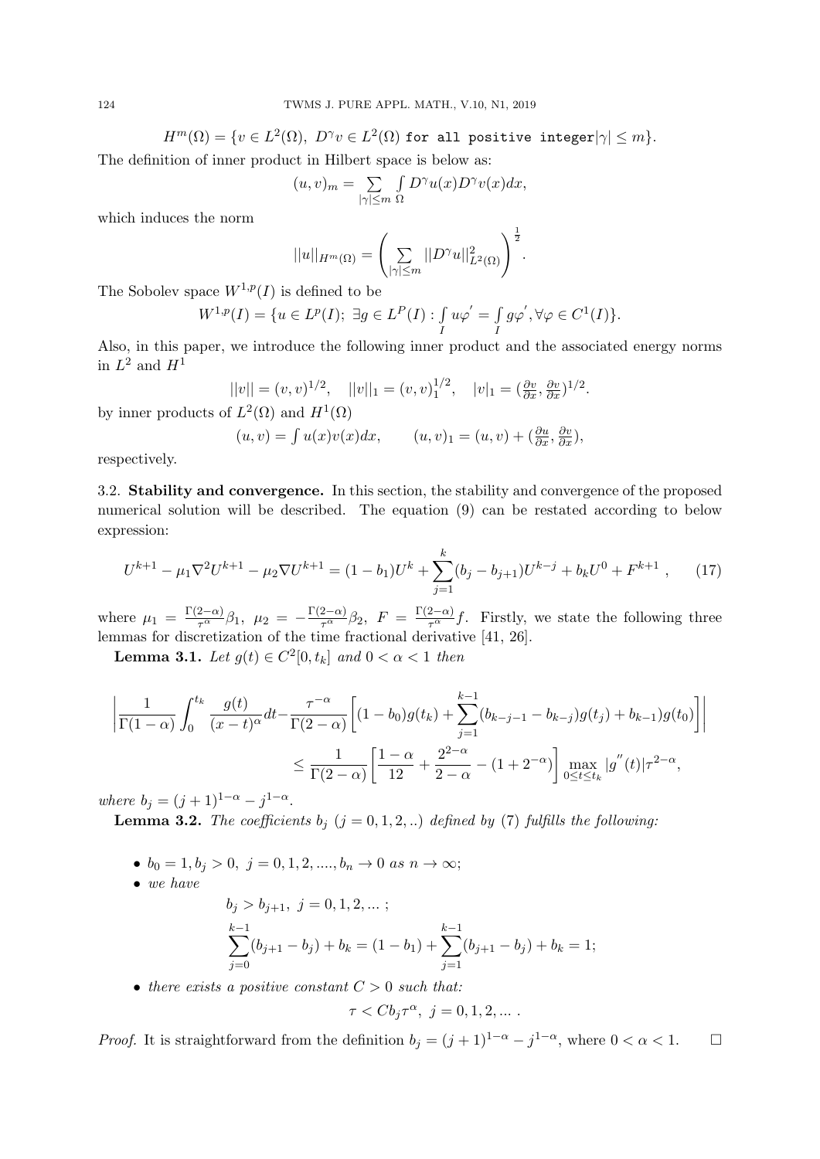$H^m(\Omega) = \{v \in L^2(\Omega),\ D^\gamma v \in L^2(\Omega) \text{ for all positive integer} |\gamma| \leq m\}.$ 

The definition of inner product in Hilbert space is below as:

$$
(u,v)_m = \sum_{|\gamma| \le m} \int D^{\gamma} u(x) D^{\gamma} v(x) dx,
$$

which induces the norm

$$
||u||_{H^m(\Omega)} = \left(\sum_{|\gamma| \le m} ||D^{\gamma}u||^2_{L^2(\Omega)}\right)^{\frac{1}{2}}.
$$

The Sobolev space  $W^{1,p}(I)$  is defined to be

$$
W^{1,p}(I) = \{ u \in L^p(I); \ \exists g \in L^P(I) : \int_I u \varphi' = \int_I g \varphi', \forall \varphi \in C^1(I) \}.
$$

Also, in this paper, we introduce the following inner product and the associated energy norms in  $L^2$  and  $H^1$ 

$$
||v|| = (v, v)^{1/2}, \quad ||v||_1 = (v, v)_1^{1/2}, \quad |v|_1 = (\frac{\partial v}{\partial x}, \frac{\partial v}{\partial x})^{1/2}.
$$

by inner products of  $L^2(\Omega)$  and  $H^1(\Omega)$ 

$$
(u, v) = \int u(x)v(x)dx, \qquad (u, v)_1 = (u, v) + \left(\frac{\partial u}{\partial x}, \frac{\partial v}{\partial x}\right),
$$

respectively.

3.2. **Stability and convergence.** In this section, the stability and convergence of the proposed numerical solution will be described. The equation (9) can be restated according to below expression:

$$
U^{k+1} - \mu_1 \nabla^2 U^{k+1} - \mu_2 \nabla U^{k+1} = (1 - b_1)U^k + \sum_{j=1}^k (b_j - b_{j+1})U^{k-j} + b_k U^0 + F^{k+1} \,, \tag{17}
$$

where  $\mu_1 = \frac{\Gamma(2-\alpha)}{\tau^{\alpha}}\beta_1$ ,  $\mu_2 = -\frac{\Gamma(2-\alpha)}{\tau^{\alpha}}\beta_2$ ,  $F = \frac{\Gamma(2-\alpha)}{\tau^{\alpha}}f$ . Firstly, we state the following three lemmas for discretization of the time fractional derivative [41, 26].

**Lemma 3.1.** *Let*  $g(t) \in C^2[0, t_k]$  *and*  $0 < \alpha < 1$  *then* 

$$
\left| \frac{1}{\Gamma(1-\alpha)} \int_0^{t_k} \frac{g(t)}{(x-t)^{\alpha}} dt - \frac{\tau^{-\alpha}}{\Gamma(2-\alpha)} \left[ (1-b_0)g(t_k) + \sum_{j=1}^{k-1} (b_{k-j-1} - b_{k-j})g(t_j) + b_{k-1})g(t_0) \right] \right|
$$
  

$$
\leq \frac{1}{\Gamma(2-\alpha)} \left[ \frac{1-\alpha}{12} + \frac{2^{2-\alpha}}{2-\alpha} - (1+2^{-\alpha}) \right] \max_{0 \leq t \leq t_k} |g''(t)| \tau^{2-\alpha},
$$

*where*  $b_j = (j + 1)^{1-\alpha} - j^{1-\alpha}$ .

**Lemma 3.2.** *The coefficients*  $b_j$  ( $j = 0, 1, 2, ...$ ) *defined by* (7) *fulfills the following:* 

- *• b*<sup>0</sup> = 1*, b<sup>j</sup> >* 0*, j* = 0*,* 1*,* 2*, ...., b<sup>n</sup> →* 0 *as n → ∞*;
- *• we have*

$$
b_j > b_{j+1}, \ j = 0, 1, 2, \dots;
$$
  
\n
$$
\sum_{j=0}^{k-1} (b_{j+1} - b_j) + b_k = (1 - b_1) + \sum_{j=1}^{k-1} (b_{j+1} - b_j) + b_k = 1;
$$

*• there exists a positive constant C >* 0 *such that:*

$$
\tau < Cb_j\tau^{\alpha}, \ j = 0, 1, 2, \dots.
$$

*Proof.* It is straightforward from the definition  $b_j = (j + 1)^{1-\alpha} - j^{1-\alpha}$ , where  $0 < \alpha < 1$ .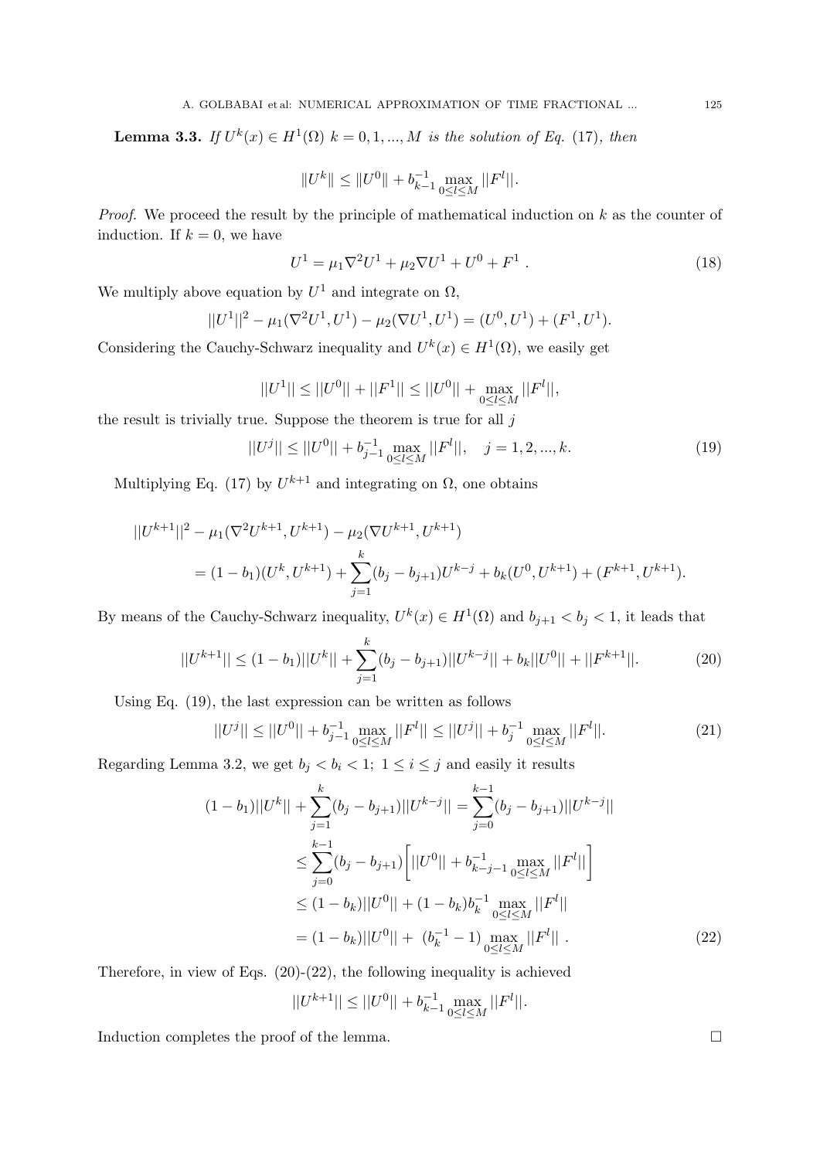**Lemma 3.3.** *If*  $U^k(x) \in H^1(\Omega)$  *k* = 0, 1, ..., *M is the solution of Eq.* (17)*, then* 

$$
||U^k|| \le ||U^0|| + b_{k-1}^{-1} \max_{0 \le l \le M} ||F^l||.
$$

*Proof.* We proceed the result by the principle of mathematical induction on k as the counter of induction. If  $k = 0$ , we have

$$
U^{1} = \mu_{1} \nabla^{2} U^{1} + \mu_{2} \nabla U^{1} + U^{0} + F^{1} . \qquad (18)
$$

We multiply above equation by  $U^1$  and integrate on  $\Omega$ ,

$$
||U^1||^2 - \mu_1(\nabla^2 U^1, U^1) - \mu_2(\nabla U^1, U^1) = (U^0, U^1) + (F^1, U^1).
$$

Considering the Cauchy-Schwarz inequality and  $U^k(x) \in H^1(\Omega)$ , we easily get

$$
||U^1|| \le ||U^0|| + ||F^1|| \le ||U^0|| + \max_{0 \le l \le M} ||F^l||,
$$

the result is trivially true. Suppose the theorem is true for all *j*

$$
||U^j|| \le ||U^0|| + b_{j-1}^{-1} \max_{0 \le l \le M} ||F^l||, \quad j = 1, 2, ..., k. \tag{19}
$$

Multiplying Eq. (17) by  $U^{k+1}$  and integrating on  $\Omega$ , one obtains

$$
||U^{k+1}||^2 - \mu_1(\nabla^2 U^{k+1}, U^{k+1}) - \mu_2(\nabla U^{k+1}, U^{k+1})
$$
  
=  $(1 - b_1)(U^k, U^{k+1}) + \sum_{j=1}^k (b_j - b_{j+1})U^{k-j} + b_k(U^0, U^{k+1}) + (F^{k+1}, U^{k+1}).$ 

By means of the Cauchy-Schwarz inequality,  $U^k(x) \in H^1(\Omega)$  and  $b_{j+1} < b_j < 1$ , it leads that

$$
||U^{k+1}|| \le (1 - b_1)||U^k|| + \sum_{j=1}^k (b_j - b_{j+1})||U^{k-j}|| + b_k||U^0|| + ||F^{k+1}||.
$$
 (20)

Using Eq. (19), the last expression can be written as follows

$$
||U^j|| \le ||U^0|| + b_{j-1}^{-1} \max_{0 \le l \le M} ||F^l|| \le ||U^j|| + b_j^{-1} \max_{0 \le l \le M} ||F^l||. \tag{21}
$$

Regarding Lemma 3.2, we get  $b_j < b_i < 1$ ;  $1 \leq i \leq j$  and easily it results

$$
(1 - b_1)||U^k|| + \sum_{j=1}^k (b_j - b_{j+1})||U^{k-j}|| = \sum_{j=0}^{k-1} (b_j - b_{j+1})||U^{k-j}||
$$
  
\n
$$
\leq \sum_{j=0}^{k-1} (b_j - b_{j+1}) \left[||U^0|| + b_{k-j-1}^{-1} \max_{0 \leq l \leq M}||F^l||\right]
$$
  
\n
$$
\leq (1 - b_k)||U^0|| + (1 - b_k)b_k^{-1} \max_{0 \leq l \leq M}||F^l||
$$
  
\n
$$
= (1 - b_k)||U^0|| + (b_k^{-1} - 1) \max_{0 \leq l \leq M}||F^l||.
$$
 (22)

Therefore, in view of Eqs.  $(20)-(22)$ , the following inequality is achieved

$$
||U^{k+1}|| \le ||U^0|| + b_{k-1}^{-1} \max_{0 \le l \le M} ||F^l||.
$$

Induction completes the proof of the lemma.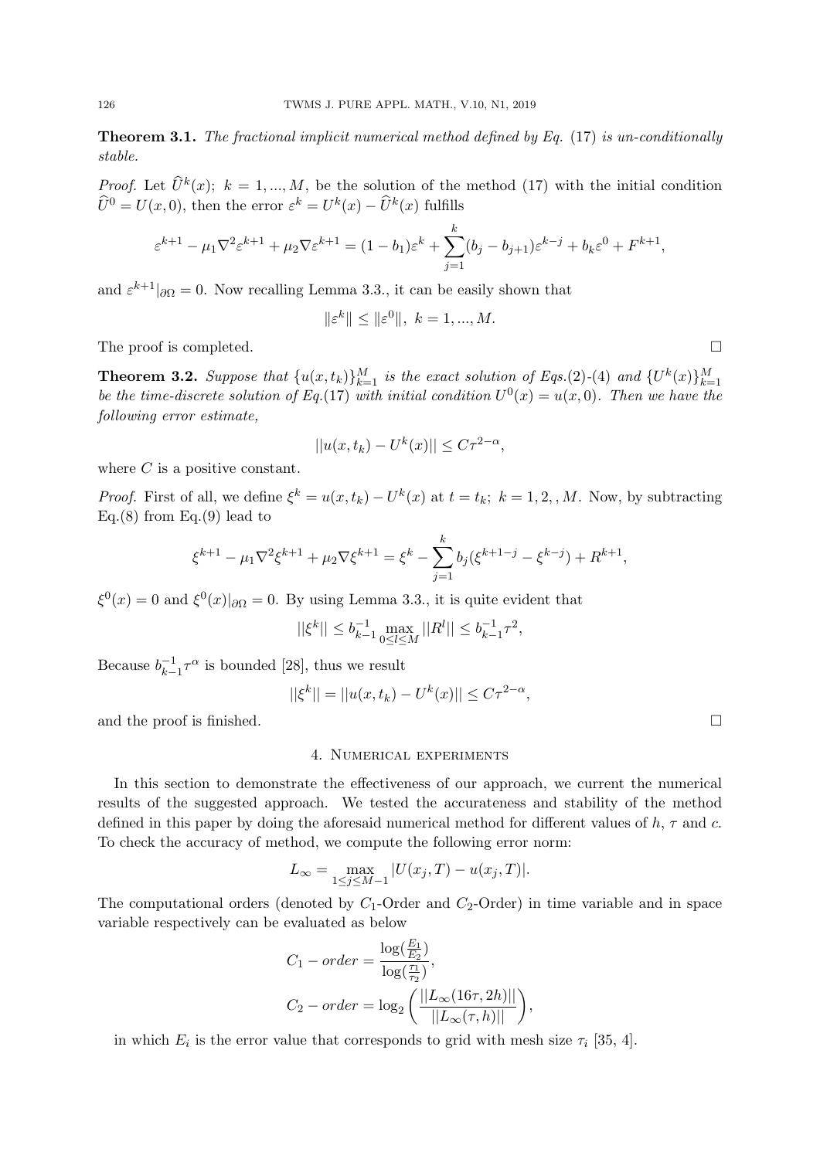**Theorem 3.1.** *The fractional implicit numerical method defined by Eq.* (17) *is un-conditionally stable.*

*Proof.* Let  $\hat{U}^k(x)$ ;  $k = 1, ..., M$ , be the solution of the method (17) with the initial condition  $\hat{U}^0 = U(x,0)$ , then the error  $\varepsilon^k = U^k(x) - \hat{U}^k(x)$  fulfills

$$
\varepsilon^{k+1} - \mu_1 \nabla^2 \varepsilon^{k+1} + \mu_2 \nabla \varepsilon^{k+1} = (1 - b_1) \varepsilon^k + \sum_{j=1}^k (b_j - b_{j+1}) \varepsilon^{k-j} + b_k \varepsilon^0 + F^{k+1},
$$

and  $\varepsilon^{k+1}$  | $\partial\Omega = 0$ . Now recalling Lemma 3.3., it can be easily shown that

$$
\|\varepsilon^k\| \le \|\varepsilon^0\|, \ k = 1, ..., M.
$$

The proof is completed.  $\Box$ 

**Theorem 3.2.** Suppose that  $\{u(x,t_k)\}_{k=1}^M$  is the exact solution of Eqs. (2)-(4) and  $\{U^k(x)\}_{k=1}^M$ *be the time-discrete solution of Eq.*(17) *with initial condition*  $U^0(x) = u(x,0)$ *. Then we have the following error estimate,*

$$
||u(x,t_k) - U^k(x)|| \leq C\tau^{2-\alpha},
$$

where *C* is a positive constant.

*Proof.* First of all, we define  $\xi^k = u(x, t_k) - U^k(x)$  at  $t = t_k$ ;  $k = 1, 2, M$ . Now, by subtracting Eq.(8) from Eq.(9) lead to

$$
\xi^{k+1} - \mu_1 \nabla^2 \xi^{k+1} + \mu_2 \nabla \xi^{k+1} = \xi^k - \sum_{j=1}^k b_j (\xi^{k+1-j} - \xi^{k-j}) + R^{k+1},
$$

 $\xi^0(x) = 0$  and  $\xi^0(x)|_{\partial\Omega} = 0$ . By using Lemma 3.3., it is quite evident that

$$
||\xi^k|| \le b_{k-1}^{-1} \max_{0 \le l \le M} ||R^l|| \le b_{k-1}^{-1} \tau^2,
$$

Because  $b_{k-}^{-1}$  $\frac{-1}{k-1} \tau^{\alpha}$  is bounded [28], thus we result

$$
||\xi^{k}|| = ||u(x, t_{k}) - U^{k}(x)|| \leq C\tau^{2-\alpha},
$$

and the proof is finished.  $\square$ 

### 4. Numerical experiments

In this section to demonstrate the effectiveness of our approach, we current the numerical results of the suggested approach. We tested the accurateness and stability of the method defined in this paper by doing the aforesaid numerical method for different values of *h*, *τ* and *c*. To check the accuracy of method, we compute the following error norm:

$$
L_{\infty} = \max_{1 \le j \le M-1} |U(x_j, T) - u(x_j, T)|.
$$

The computational orders (denoted by *C*1-Order and *C*2-Order) in time variable and in space variable respectively can be evaluated as below

$$
C_1 - order = \frac{\log(\frac{E_1}{E_2})}{\log(\frac{\tau_1}{\tau_2})},
$$
  
\n
$$
C_2 - order = \log_2\left(\frac{||L_\infty(16\tau, 2h)||}{||L_\infty(\tau, h)||}\right),
$$

in which  $E_i$  is the error value that corresponds to grid with mesh size  $\tau_i$  [35, 4].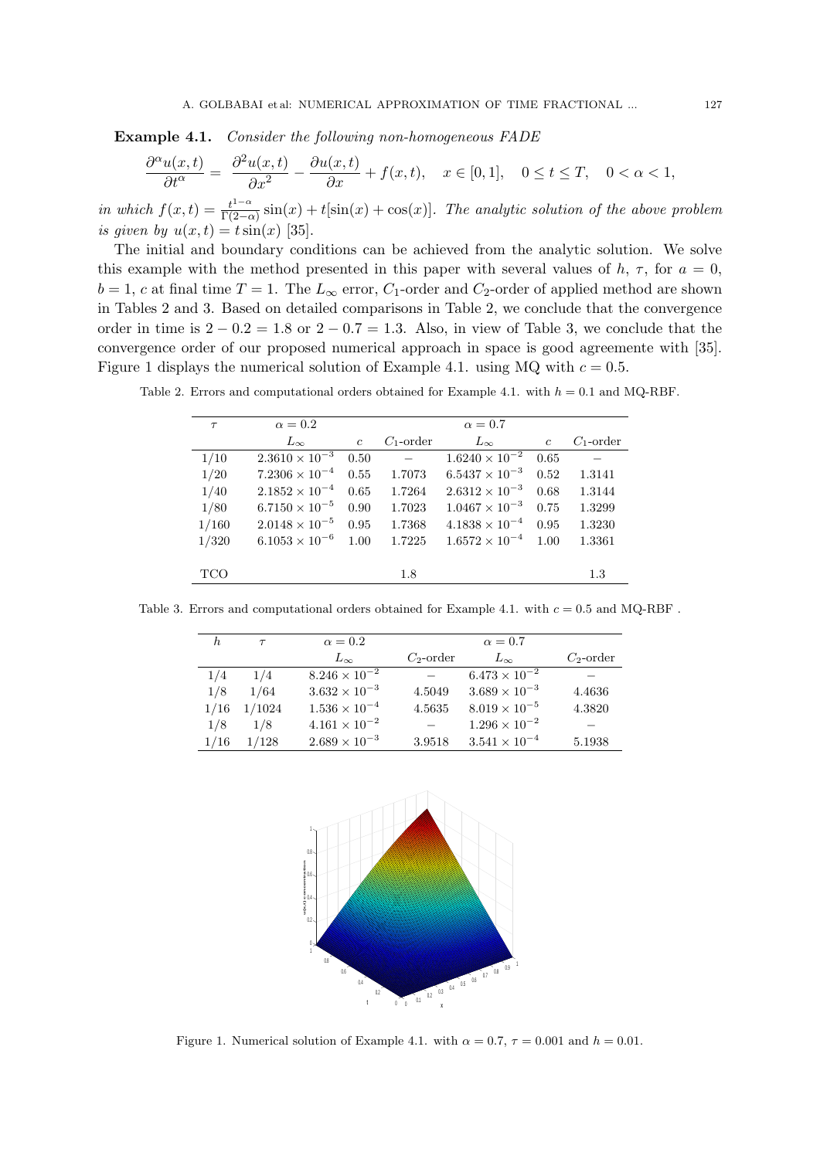**Example 4.1.** *Consider the following non-homogeneous FADE*

$$
\frac{\partial^{\alpha}u(x,t)}{\partial t^{\alpha}} = \frac{\partial^2 u(x,t)}{\partial x^2} - \frac{\partial u(x,t)}{\partial x} + f(x,t), \quad x \in [0,1], \quad 0 \le t \le T, \quad 0 < \alpha < 1,
$$

*in which*  $f(x,t) = \frac{t^{1-\alpha}}{\Gamma(2-\alpha)}$  $\frac{t^{1-\alpha}}{\Gamma(2-\alpha)}\sin(x) + t[\sin(x) + \cos(x)].$  The analytic solution of the above problem *is given by*  $u(x,t) = t \sin(x)$  [35].

The initial and boundary conditions can be achieved from the analytic solution. We solve this example with the method presented in this paper with several values of  $h$ ,  $\tau$ , for  $a = 0$ ,  $b = 1$ , *c* at final time  $T = 1$ . The  $L_{\infty}$  error,  $C_1$ -order and  $C_2$ -order of applied method are shown in Tables 2 and 3. Based on detailed comparisons in Table 2, we conclude that the convergence order in time is 2 *−* 0*.*2 = 1*.*8 or 2 *−* 0*.*7 = 1*.*3. Also, in view of Table 3, we conclude that the convergence order of our proposed numerical approach in space is good agreemente with [35]. Figure 1 displays the numerical solution of Example 4.1. using MQ with  $c = 0.5$ .

Table 2. Errors and computational orders obtained for Example 4.1. with *h* = 0*.*1 and MQ-RBF.

| $\tau$ | $\alpha=0.2$                     |                |              | $\alpha=0.7$            |                |              |
|--------|----------------------------------|----------------|--------------|-------------------------|----------------|--------------|
|        | $L_{\infty}$                     | $\mathfrak{c}$ | $C_1$ -order | $L_{\infty}$            | $\mathfrak{c}$ | $C_1$ -order |
| 1/10   | $2.3610 \times 10^{-3}$          | 0.50           | $\sim$       | $1.6240 \times 10^{-2}$ | 0.65           |              |
| 1/20   | $7.2306 \times 10^{-4}$          | 0.55           | 1.7073       | $6.5437 \times 10^{-3}$ | 0.52           | 1.3141       |
| 1/40   | $2.1852 \times 10^{-4}$          | 0.65           | 1.7264       | $2.6312 \times 10^{-3}$ | 0.68           | 1.3144       |
| 1/80   | $6.7150 \times 10^{-5}$          | 0.90           | 1.7023       | $1.0467 \times 10^{-3}$ | 0.75           | 1.3299       |
| 1/160  | $2.0148 \times 10^{-5}$          | 0.95           | 1.7368       | $4.1838 \times 10^{-4}$ | 0.95           | 1.3230       |
| 1/320  | 6.1053 $\times$ 10 <sup>-6</sup> | 1.00           | 1.7225       | $1.6572 \times 10^{-4}$ | 1.00           | 1.3361       |
|        |                                  |                |              |                         |                |              |
| TCO    |                                  |                | 1.8          |                         |                | 1.3          |

Table 3. Errors and computational orders obtained for Example 4.1. with  $c = 0.5$  and MQ-RBF .

| h.   | $\tau$ | $\alpha = 0.2$         |              | $\alpha = 0.7$         |              |
|------|--------|------------------------|--------------|------------------------|--------------|
|      |        | $L_{\infty}$           | $C_2$ -order | $L_{\infty}$           | $C_2$ -order |
| 1/4  | 1/4    | $8.246 \times 10^{-2}$ |              | $6.473 \times 10^{-2}$ |              |
| 1/8  | 1/64   | $3.632 \times 10^{-3}$ | 4.5049       | $3.689 \times 10^{-3}$ | 4.4636       |
| 1/16 | 1/1024 | $1.536 \times 10^{-4}$ | 4.5635       | $8.019 \times 10^{-5}$ | 4.3820       |
| 1/8  | 1/8    | $4.161 \times 10^{-2}$ |              | $1.296 \times 10^{-2}$ |              |
| 1/16 | 1/128  | $2.689 \times 10^{-3}$ | 3.9518       | $3.541 \times 10^{-4}$ | 5.1938       |



Figure 1. Numerical solution of Example 4.1. with  $\alpha = 0.7$ ,  $\tau = 0.001$  and  $h = 0.01$ .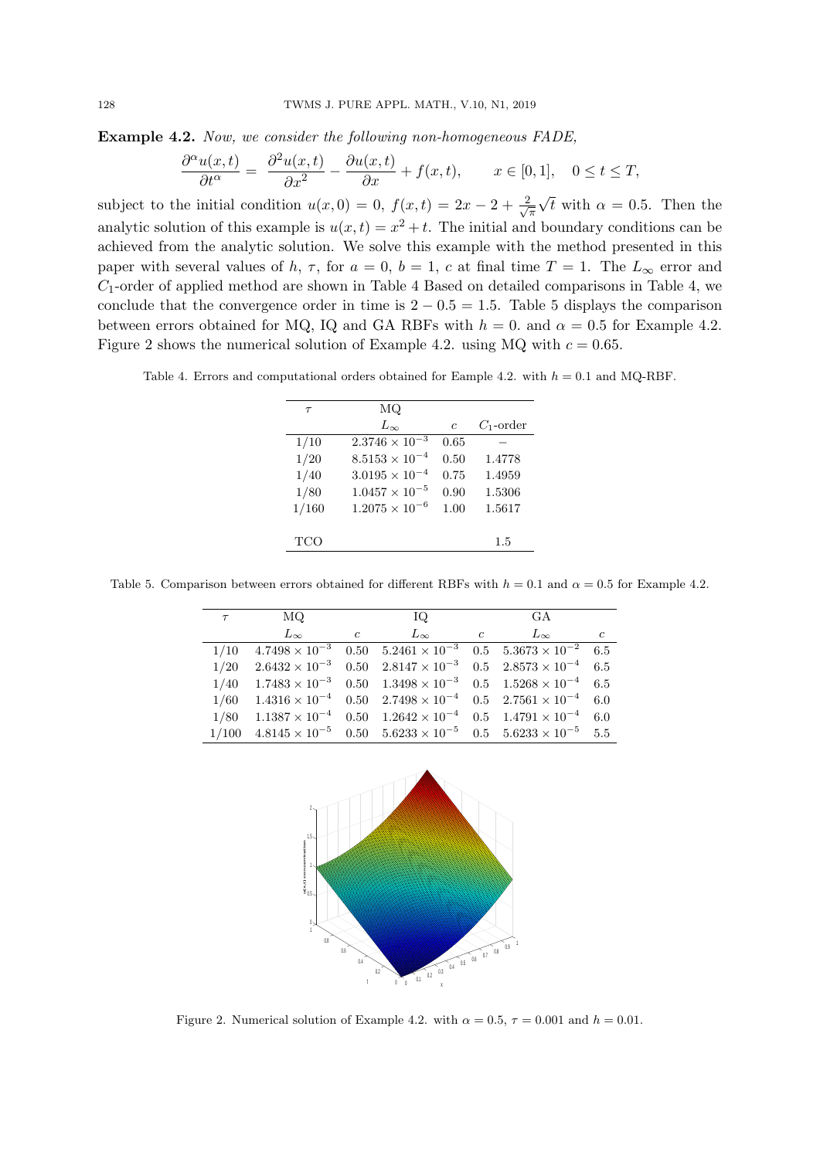**Example 4.2.** *Now, we consider the following non-homogeneous FADE,*

$$
\frac{\partial^{\alpha} u(x,t)}{\partial t^{\alpha}} = \frac{\partial^2 u(x,t)}{\partial x^2} - \frac{\partial u(x,t)}{\partial x} + f(x,t), \qquad x \in [0,1], \quad 0 \le t \le T,
$$

subject to the initial condition  $u(x, 0) = 0$ ,  $f(x,t) = 2x - 2 + \frac{2}{\sqrt{2}}$ *π √ t* with  $\alpha = 0.5$ . Then the analytic solution of this example is  $u(x,t) = x^2 + t$ . The initial and boundary conditions can be achieved from the analytic solution. We solve this example with the method presented in this paper with several values of *h*,  $\tau$ , for  $a = 0$ ,  $b = 1$ ,  $c$  at final time  $T = 1$ . The  $L_{\infty}$  error and *C*1-order of applied method are shown in Table 4 Based on detailed comparisons in Table 4, we conclude that the convergence order in time is  $2 - 0.5 = 1.5$ . Table 5 displays the comparison between errors obtained for MQ, IQ and GA RBFs with  $h = 0$ . and  $\alpha = 0.5$  for Example 4.2. Figure 2 shows the numerical solution of Example 4.2. using MQ with  $c = 0.65$ .

Table 4. Errors and computational orders obtained for Eample 4.2. with  $h = 0.1$  and MQ-RBF.

| $\tau$     | MQ                      |            |              |
|------------|-------------------------|------------|--------------|
|            | $L_{\infty}$            | $\epsilon$ | $C_1$ -order |
| 1/10       | $2.3746 \times 10^{-3}$ | 0.65       |              |
| 1/20       | $8.5153 \times 10^{-4}$ | 0.50       | 1.4778       |
| 1/40       | $3.0195 \times 10^{-4}$ | 0.75       | 1.4959       |
| 1/80       | $1.0457 \times 10^{-5}$ | 0.90       | 1.5306       |
| 1/160      | $1.2075 \times 10^{-6}$ | 1.00       | 1.5617       |
|            |                         |            |              |
| <b>TCO</b> |                         |            | 1.5          |
|            |                         |            |              |

Table 5. Comparison between errors obtained for different RBFs with  $h = 0.1$  and  $\alpha = 0.5$  for Example 4.2.

| $\tau$ | MQ.                                                                                                |                | IQ.          |                | GA           |                |
|--------|----------------------------------------------------------------------------------------------------|----------------|--------------|----------------|--------------|----------------|
|        | $L_{\infty}$                                                                                       | $\overline{c}$ | $L_{\infty}$ | $\overline{c}$ | $L_{\infty}$ | $\mathfrak{c}$ |
| 1/10   | $4.7498 \times 10^{-3}$ 0.50 $5.2461 \times 10^{-3}$ 0.5 $5.3673 \times 10^{-2}$                   |                |              |                |              | 6.5            |
| 1/20   | $2.6432 \times 10^{-3}$ 0.50 $2.8147 \times 10^{-3}$ 0.5 $2.8573 \times 10^{-4}$ 6.5               |                |              |                |              |                |
| 1/40   | $1.7483 \times 10^{-3}$ $0.50$ $1.3498 \times 10^{-3}$ $0.5$ $1.5268 \times 10^{-4}$ 6.5           |                |              |                |              |                |
|        | $1/60$ $1.4316 \times 10^{-4}$ $0.50$ $2.7498 \times 10^{-4}$ $0.5$ $2.7561 \times 10^{-4}$ 6.0    |                |              |                |              |                |
|        | $1/80$ $1.1387 \times 10^{-4}$ $0.50$ $1.2642 \times 10^{-4}$ $0.5$ $1.4791 \times 10^{-4}$ 6.0    |                |              |                |              |                |
|        | $1/100$ $4.8145 \times 10^{-5}$ $0.50$ $5.6233 \times 10^{-5}$ $0.5$ $5.6233 \times 10^{-5}$ $5.5$ |                |              |                |              |                |



Figure 2. Numerical solution of Example 4.2. with  $\alpha = 0.5$ ,  $\tau = 0.001$  and  $h = 0.01$ .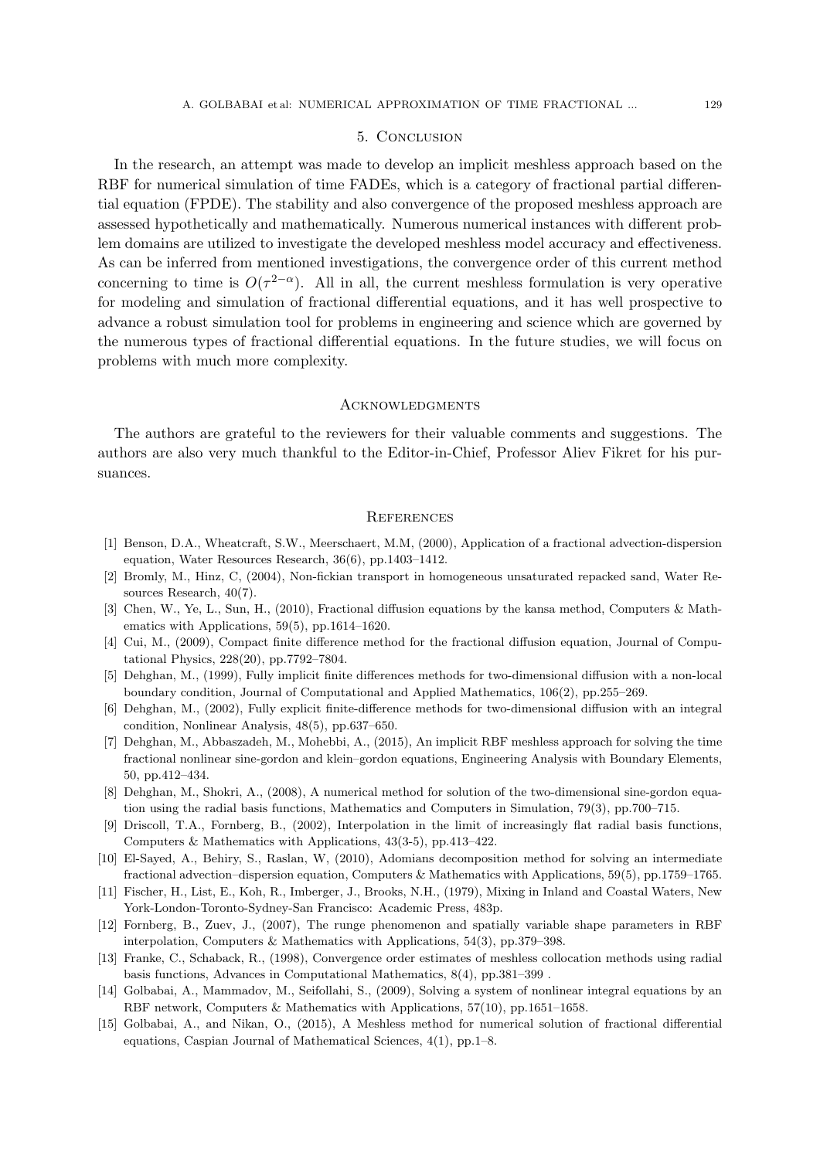# 5. Conclusion

In the research, an attempt was made to develop an implicit meshless approach based on the RBF for numerical simulation of time FADEs, which is a category of fractional partial differential equation (FPDE). The stability and also convergence of the proposed meshless approach are assessed hypothetically and mathematically. Numerous numerical instances with different problem domains are utilized to investigate the developed meshless model accuracy and effectiveness. As can be inferred from mentioned investigations, the convergence order of this current method concerning to time is  $O(\tau^{2-\alpha})$ . All in all, the current meshless formulation is very operative for modeling and simulation of fractional differential equations, and it has well prospective to advance a robust simulation tool for problems in engineering and science which are governed by the numerous types of fractional differential equations. In the future studies, we will focus on problems with much more complexity.

#### **ACKNOWLEDGMENTS**

The authors are grateful to the reviewers for their valuable comments and suggestions. The authors are also very much thankful to the Editor-in-Chief, Professor Aliev Fikret for his pursuances.

### **REFERENCES**

- [1] Benson, D.A., Wheatcraft, S.W., Meerschaert, M.M, (2000), Application of a fractional advection-dispersion equation, Water Resources Research, 36(6), pp.1403–1412.
- [2] Bromly, M., Hinz, C, (2004), Non-fickian transport in homogeneous unsaturated repacked sand, Water Resources Research, 40(7).
- [3] Chen, W., Ye, L., Sun, H., (2010), Fractional diffusion equations by the kansa method, Computers & Mathematics with Applications, 59(5), pp.1614–1620.
- [4] Cui, M., (2009), Compact finite difference method for the fractional diffusion equation, Journal of Computational Physics, 228(20), pp.7792–7804.
- [5] Dehghan, M., (1999), Fully implicit finite differences methods for two-dimensional diffusion with a non-local boundary condition, Journal of Computational and Applied Mathematics, 106(2), pp.255–269.
- [6] Dehghan, M., (2002), Fully explicit finite-difference methods for two-dimensional diffusion with an integral condition, Nonlinear Analysis, 48(5), pp.637–650.
- [7] Dehghan, M., Abbaszadeh, M., Mohebbi, A., (2015), An implicit RBF meshless approach for solving the time fractional nonlinear sine-gordon and klein–gordon equations, Engineering Analysis with Boundary Elements, 50, pp.412–434.
- [8] Dehghan, M., Shokri, A., (2008), A numerical method for solution of the two-dimensional sine-gordon equation using the radial basis functions, Mathematics and Computers in Simulation, 79(3), pp.700–715.
- [9] Driscoll, T.A., Fornberg, B., (2002), Interpolation in the limit of increasingly flat radial basis functions, Computers & Mathematics with Applications, 43(3-5), pp.413–422.
- [10] El-Sayed, A., Behiry, S., Raslan, W, (2010), Adomians decomposition method for solving an intermediate fractional advection–dispersion equation, Computers & Mathematics with Applications, 59(5), pp.1759–1765.
- [11] Fischer, H., List, E., Koh, R., Imberger, J., Brooks, N.H., (1979), Mixing in Inland and Coastal Waters, New York-London-Toronto-Sydney-San Francisco: Academic Press, 483p.
- [12] Fornberg, B., Zuev, J., (2007), The runge phenomenon and spatially variable shape parameters in RBF interpolation, Computers & Mathematics with Applications, 54(3), pp.379–398.
- [13] Franke, C., Schaback, R., (1998), Convergence order estimates of meshless collocation methods using radial basis functions, Advances in Computational Mathematics, 8(4), pp.381–399 .
- [14] Golbabai, A., Mammadov, M., Seifollahi, S., (2009), Solving a system of nonlinear integral equations by an RBF network, Computers & Mathematics with Applications, 57(10), pp.1651–1658.
- [15] Golbabai, A., and Nikan, O., (2015), A Meshless method for numerical solution of fractional differential equations, Caspian Journal of Mathematical Sciences, 4(1), pp.1–8.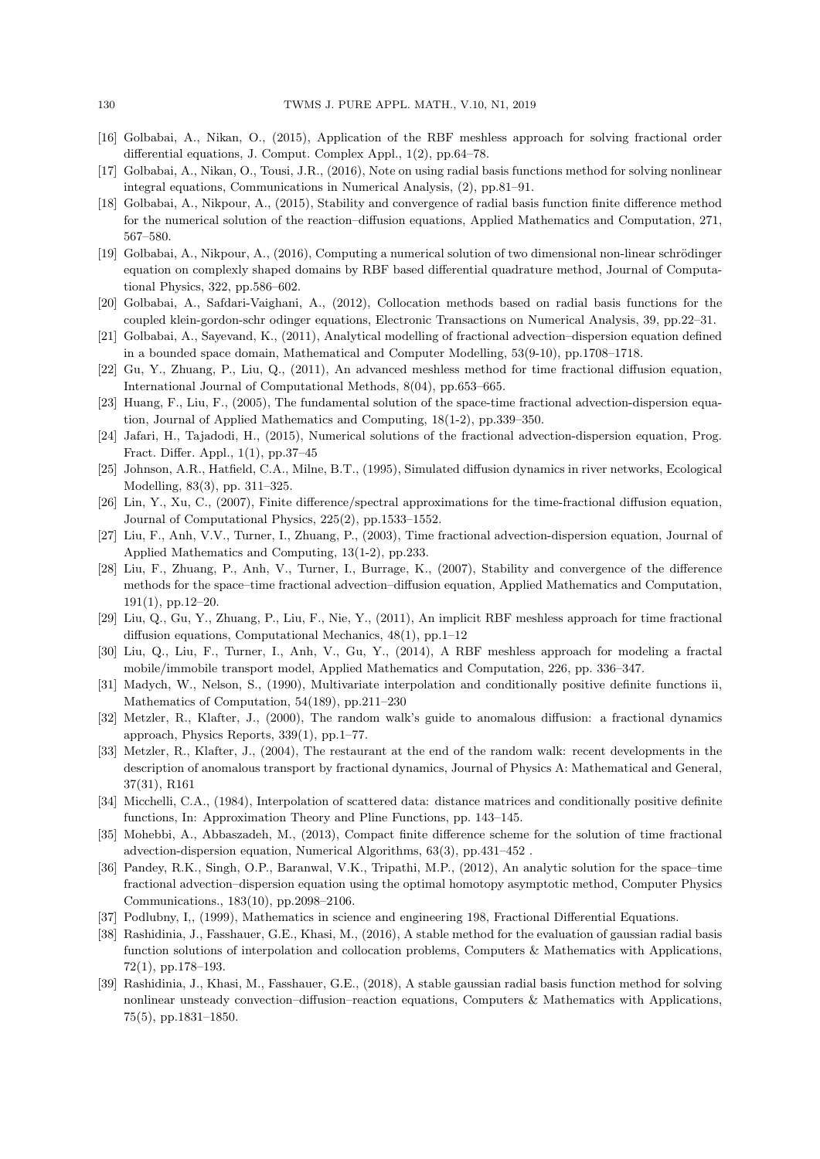- [16] Golbabai, A., Nikan, O., (2015), Application of the RBF meshless approach for solving fractional order differential equations, J. Comput. Complex Appl., 1(2), pp.64–78.
- [17] Golbabai, A., Nikan, O., Tousi, J.R., (2016), Note on using radial basis functions method for solving nonlinear integral equations, Communications in Numerical Analysis, (2), pp.81–91.
- [18] Golbabai, A., Nikpour, A., (2015), Stability and convergence of radial basis function finite difference method for the numerical solution of the reaction–diffusion equations, Applied Mathematics and Computation, 271, 567–580.
- [19] Golbabai, A., Nikpour, A., (2016), Computing a numerical solution of two dimensional non-linear schrödinger equation on complexly shaped domains by RBF based differential quadrature method, Journal of Computational Physics, 322, pp.586–602.
- [20] Golbabai, A., Safdari-Vaighani, A., (2012), Collocation methods based on radial basis functions for the coupled klein-gordon-schr odinger equations, Electronic Transactions on Numerical Analysis, 39, pp.22–31.
- [21] Golbabai, A., Sayevand, K., (2011), Analytical modelling of fractional advection–dispersion equation defined in a bounded space domain, Mathematical and Computer Modelling, 53(9-10), pp.1708–1718.
- [22] Gu, Y., Zhuang, P., Liu, Q., (2011), An advanced meshless method for time fractional diffusion equation, International Journal of Computational Methods, 8(04), pp.653–665.
- [23] Huang, F., Liu, F., (2005), The fundamental solution of the space-time fractional advection-dispersion equation, Journal of Applied Mathematics and Computing, 18(1-2), pp.339–350.
- [24] Jafari, H., Tajadodi, H., (2015), Numerical solutions of the fractional advection-dispersion equation, Prog. Fract. Differ. Appl., 1(1), pp.37–45
- [25] Johnson, A.R., Hatfield, C.A., Milne, B.T., (1995), Simulated diffusion dynamics in river networks, Ecological Modelling, 83(3), pp. 311–325.
- [26] Lin, Y., Xu, C., (2007), Finite difference/spectral approximations for the time-fractional diffusion equation, Journal of Computational Physics, 225(2), pp.1533–1552.
- [27] Liu, F., Anh, V.V., Turner, I., Zhuang, P., (2003), Time fractional advection-dispersion equation, Journal of Applied Mathematics and Computing, 13(1-2), pp.233.
- [28] Liu, F., Zhuang, P., Anh, V., Turner, I., Burrage, K., (2007), Stability and convergence of the difference methods for the space–time fractional advection–diffusion equation, Applied Mathematics and Computation, 191(1), pp.12–20.
- [29] Liu, Q., Gu, Y., Zhuang, P., Liu, F., Nie, Y., (2011), An implicit RBF meshless approach for time fractional diffusion equations, Computational Mechanics, 48(1), pp.1–12
- [30] Liu, Q., Liu, F., Turner, I., Anh, V., Gu, Y., (2014), A RBF meshless approach for modeling a fractal mobile/immobile transport model, Applied Mathematics and Computation, 226, pp. 336–347.
- [31] Madych, W., Nelson, S., (1990), Multivariate interpolation and conditionally positive definite functions ii, Mathematics of Computation, 54(189), pp.211–230
- [32] Metzler, R., Klafter, J., (2000), The random walk's guide to anomalous diffusion: a fractional dynamics approach, Physics Reports, 339(1), pp.1–77.
- [33] Metzler, R., Klafter, J., (2004), The restaurant at the end of the random walk: recent developments in the description of anomalous transport by fractional dynamics, Journal of Physics A: Mathematical and General, 37(31), R161
- [34] Micchelli, C.A., (1984), Interpolation of scattered data: distance matrices and conditionally positive definite functions, In: Approximation Theory and Pline Functions, pp. 143–145.
- [35] Mohebbi, A., Abbaszadeh, M., (2013), Compact finite difference scheme for the solution of time fractional advection-dispersion equation, Numerical Algorithms, 63(3), pp.431–452 .
- [36] Pandey, R.K., Singh, O.P., Baranwal, V.K., Tripathi, M.P., (2012), An analytic solution for the space–time fractional advection–dispersion equation using the optimal homotopy asymptotic method, Computer Physics Communications., 183(10), pp.2098–2106.
- [37] Podlubny, I,, (1999), Mathematics in science and engineering 198, Fractional Differential Equations.
- [38] Rashidinia, J., Fasshauer, G.E., Khasi, M., (2016), A stable method for the evaluation of gaussian radial basis function solutions of interpolation and collocation problems, Computers & Mathematics with Applications, 72(1), pp.178–193.
- [39] Rashidinia, J., Khasi, M., Fasshauer, G.E., (2018), A stable gaussian radial basis function method for solving nonlinear unsteady convection–diffusion–reaction equations, Computers & Mathematics with Applications, 75(5), pp.1831–1850.